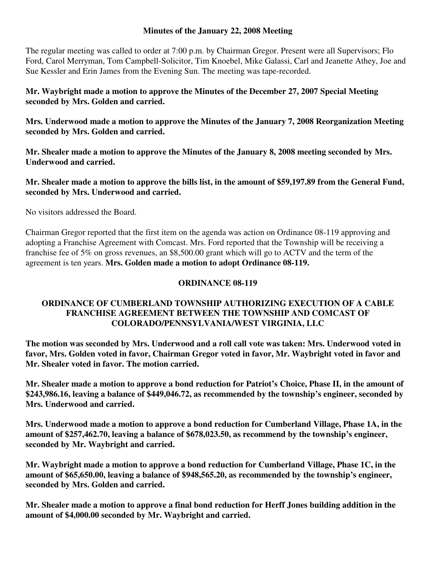#### **Minutes of the January 22, 2008 Meeting**

The regular meeting was called to order at 7:00 p.m. by Chairman Gregor. Present were all Supervisors; Flo Ford, Carol Merryman, Tom Campbell-Solicitor, Tim Knoebel, Mike Galassi, Carl and Jeanette Athey, Joe and Sue Kessler and Erin James from the Evening Sun. The meeting was tape-recorded.

## **Mr. Waybright made a motion to approve the Minutes of the December 27, 2007 Special Meeting seconded by Mrs. Golden and carried.**

**Mrs. Underwood made a motion to approve the Minutes of the January 7, 2008 Reorganization Meeting seconded by Mrs. Golden and carried.** 

**Mr. Shealer made a motion to approve the Minutes of the January 8, 2008 meeting seconded by Mrs. Underwood and carried.** 

## **Mr. Shealer made a motion to approve the bills list, in the amount of \$59,197.89 from the General Fund, seconded by Mrs. Underwood and carried.**

No visitors addressed the Board.

Chairman Gregor reported that the first item on the agenda was action on Ordinance 08-119 approving and adopting a Franchise Agreement with Comcast. Mrs. Ford reported that the Township will be receiving a franchise fee of 5% on gross revenues, an \$8,500.00 grant which will go to ACTV and the term of the agreement is ten years. **Mrs. Golden made a motion to adopt Ordinance 08-119.** 

# **ORDINANCE 08-119**

# **ORDINANCE OF CUMBERLAND TOWNSHIP AUTHORIZING EXECUTION OF A CABLE FRANCHISE AGREEMENT BETWEEN THE TOWNSHIP AND COMCAST OF COLORADO/PENNSYLVANIA/WEST VIRGINIA, LLC**

**The motion was seconded by Mrs. Underwood and a roll call vote was taken: Mrs. Underwood voted in favor, Mrs. Golden voted in favor, Chairman Gregor voted in favor, Mr. Waybright voted in favor and Mr. Shealer voted in favor. The motion carried.** 

**Mr. Shealer made a motion to approve a bond reduction for Patriot's Choice, Phase II, in the amount of \$243,986.16, leaving a balance of \$449,046.72, as recommended by the township's engineer, seconded by Mrs. Underwood and carried.**

**Mrs. Underwood made a motion to approve a bond reduction for Cumberland Village, Phase 1A, in the amount of \$257,462.70, leaving a balance of \$678,023.50, as recommend by the township's engineer, seconded by Mr. Waybright and carried.**

**Mr. Waybright made a motion to approve a bond reduction for Cumberland Village, Phase 1C, in the amount of \$65,650.00, leaving a balance of \$948,565.20, as recommended by the township's engineer, seconded by Mrs. Golden and carried.** 

**Mr. Shealer made a motion to approve a final bond reduction for Herff Jones building addition in the amount of \$4,000.00 seconded by Mr. Waybright and carried.**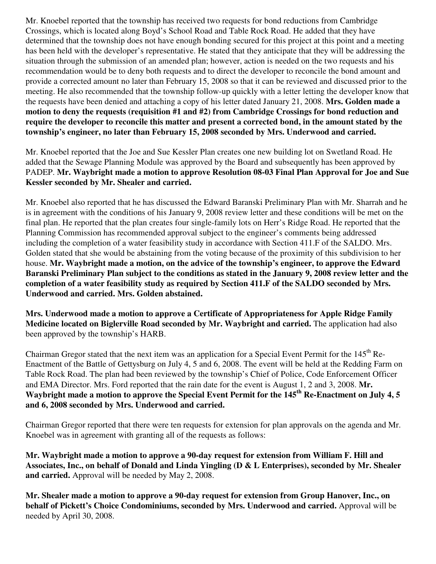Mr. Knoebel reported that the township has received two requests for bond reductions from Cambridge Crossings, which is located along Boyd's School Road and Table Rock Road. He added that they have determined that the township does not have enough bonding secured for this project at this point and a meeting has been held with the developer's representative. He stated that they anticipate that they will be addressing the situation through the submission of an amended plan; however, action is needed on the two requests and his recommendation would be to deny both requests and to direct the developer to reconcile the bond amount and provide a corrected amount no later than February 15, 2008 so that it can be reviewed and discussed prior to the meeting. He also recommended that the township follow-up quickly with a letter letting the developer know that the requests have been denied and attaching a copy of his letter dated January 21, 2008. **Mrs. Golden made a motion to deny the requests (requisition #1 and #2) from Cambridge Crossings for bond reduction and require the developer to reconcile this matter and present a corrected bond, in the amount stated by the township's engineer, no later than February 15, 2008 seconded by Mrs. Underwood and carried.** 

Mr. Knoebel reported that the Joe and Sue Kessler Plan creates one new building lot on Swetland Road. He added that the Sewage Planning Module was approved by the Board and subsequently has been approved by PADEP. **Mr. Waybright made a motion to approve Resolution 08-03 Final Plan Approval for Joe and Sue Kessler seconded by Mr. Shealer and carried.** 

Mr. Knoebel also reported that he has discussed the Edward Baranski Preliminary Plan with Mr. Sharrah and he is in agreement with the conditions of his January 9, 2008 review letter and these conditions will be met on the final plan. He reported that the plan creates four single-family lots on Herr's Ridge Road. He reported that the Planning Commission has recommended approval subject to the engineer's comments being addressed including the completion of a water feasibility study in accordance with Section 411.F of the SALDO. Mrs. Golden stated that she would be abstaining from the voting because of the proximity of this subdivision to her house. **Mr. Waybright made a motion, on the advice of the township's engineer, to approve the Edward Baranski Preliminary Plan subject to the conditions as stated in the January 9, 2008 review letter and the completion of a water feasibility study as required by Section 411.F of the SALDO seconded by Mrs. Underwood and carried. Mrs. Golden abstained.** 

**Mrs. Underwood made a motion to approve a Certificate of Appropriateness for Apple Ridge Family Medicine located on Biglerville Road seconded by Mr. Waybright and carried.** The application had also been approved by the township's HARB.

Chairman Gregor stated that the next item was an application for a Special Event Permit for the 145<sup>th</sup> Re-Enactment of the Battle of Gettysburg on July 4, 5 and 6, 2008. The event will be held at the Redding Farm on Table Rock Road. The plan had been reviewed by the township's Chief of Police, Code Enforcement Officer and EMA Director. Mrs. Ford reported that the rain date for the event is August 1, 2 and 3, 2008. **Mr. Waybright made a motion to approve the Special Event Permit for the 145th Re-Enactment on July 4, 5 and 6, 2008 seconded by Mrs. Underwood and carried.**

Chairman Gregor reported that there were ten requests for extension for plan approvals on the agenda and Mr. Knoebel was in agreement with granting all of the requests as follows:

**Mr. Waybright made a motion to approve a 90-day request for extension from William F. Hill and Associates, Inc., on behalf of Donald and Linda Yingling (D & L Enterprises), seconded by Mr. Shealer and carried.** Approval will be needed by May 2, 2008.

**Mr. Shealer made a motion to approve a 90-day request for extension from Group Hanover, Inc., on behalf of Pickett's Choice Condominiums, seconded by Mrs. Underwood and carried.** Approval will be needed by April 30, 2008.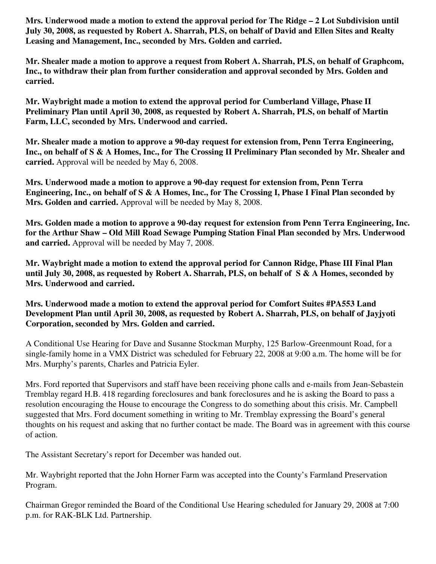**Mrs. Underwood made a motion to extend the approval period for The Ridge – 2 Lot Subdivision until July 30, 2008, as requested by Robert A. Sharrah, PLS, on behalf of David and Ellen Sites and Realty Leasing and Management, Inc., seconded by Mrs. Golden and carried.** 

**Mr. Shealer made a motion to approve a request from Robert A. Sharrah, PLS, on behalf of Graphcom, Inc., to withdraw their plan from further consideration and approval seconded by Mrs. Golden and carried.** 

**Mr. Waybright made a motion to extend the approval period for Cumberland Village, Phase II Preliminary Plan until April 30, 2008, as requested by Robert A. Sharrah, PLS, on behalf of Martin Farm, LLC, seconded by Mrs. Underwood and carried.** 

**Mr. Shealer made a motion to approve a 90-day request for extension from, Penn Terra Engineering, Inc., on behalf of S & A Homes, Inc., for The Crossing II Preliminary Plan seconded by Mr. Shealer and carried.** Approval will be needed by May 6, 2008.

**Mrs. Underwood made a motion to approve a 90-day request for extension from, Penn Terra Engineering, Inc., on behalf of S & A Homes, Inc., for The Crossing I, Phase I Final Plan seconded by Mrs. Golden and carried.** Approval will be needed by May 8, 2008.

**Mrs. Golden made a motion to approve a 90-day request for extension from Penn Terra Engineering, Inc. for the Arthur Shaw – Old Mill Road Sewage Pumping Station Final Plan seconded by Mrs. Underwood and carried.** Approval will be needed by May 7, 2008.

**Mr. Waybright made a motion to extend the approval period for Cannon Ridge, Phase III Final Plan until July 30, 2008, as requested by Robert A. Sharrah, PLS, on behalf of S & A Homes, seconded by Mrs. Underwood and carried.** 

**Mrs. Underwood made a motion to extend the approval period for Comfort Suites #PA553 Land Development Plan until April 30, 2008, as requested by Robert A. Sharrah, PLS, on behalf of Jayjyoti Corporation, seconded by Mrs. Golden and carried.** 

A Conditional Use Hearing for Dave and Susanne Stockman Murphy, 125 Barlow-Greenmount Road, for a single-family home in a VMX District was scheduled for February 22, 2008 at 9:00 a.m. The home will be for Mrs. Murphy's parents, Charles and Patricia Eyler.

Mrs. Ford reported that Supervisors and staff have been receiving phone calls and e-mails from Jean-Sebastein Tremblay regard H.B. 418 regarding foreclosures and bank foreclosures and he is asking the Board to pass a resolution encouraging the House to encourage the Congress to do something about this crisis. Mr. Campbell suggested that Mrs. Ford document something in writing to Mr. Tremblay expressing the Board's general thoughts on his request and asking that no further contact be made. The Board was in agreement with this course of action.

The Assistant Secretary's report for December was handed out.

Mr. Waybright reported that the John Horner Farm was accepted into the County's Farmland Preservation Program.

Chairman Gregor reminded the Board of the Conditional Use Hearing scheduled for January 29, 2008 at 7:00 p.m. for RAK-BLK Ltd. Partnership.